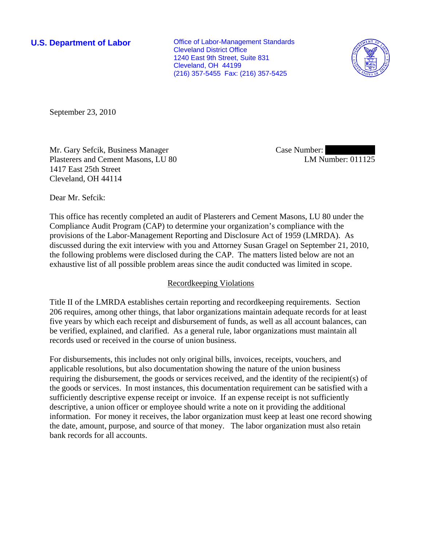**U.S. Department of Labor Conservative Conservative Conservative Conservative Conservative Conservative Conservative Conservative Conservative Conservative Conservative Conservative Conservative Conservative Conservative** Cleveland District Office 1240 East 9th Street, Suite 831 Cleveland, OH 44199 (216) 357-5455 Fax: (216) 357-5425



September 23, 2010

Mr. Gary Sefcik, Business Manager Plasterers and Cement Masons, LU 80 1417 East 25th Street Cleveland, OH 44114

Case Number: LM Number: 011125

Dear Mr. Sefcik:

This office has recently completed an audit of Plasterers and Cement Masons, LU 80 under the Compliance Audit Program (CAP) to determine your organization's compliance with the provisions of the Labor-Management Reporting and Disclosure Act of 1959 (LMRDA). As discussed during the exit interview with you and Attorney Susan Gragel on September 21, 2010, the following problems were disclosed during the CAP. The matters listed below are not an exhaustive list of all possible problem areas since the audit conducted was limited in scope.

## Recordkeeping Violations

Title II of the LMRDA establishes certain reporting and recordkeeping requirements. Section 206 requires, among other things, that labor organizations maintain adequate records for at least five years by which each receipt and disbursement of funds, as well as all account balances, can be verified, explained, and clarified. As a general rule, labor organizations must maintain all records used or received in the course of union business.

For disbursements, this includes not only original bills, invoices, receipts, vouchers, and applicable resolutions, but also documentation showing the nature of the union business requiring the disbursement, the goods or services received, and the identity of the recipient(s) of the goods or services. In most instances, this documentation requirement can be satisfied with a sufficiently descriptive expense receipt or invoice. If an expense receipt is not sufficiently descriptive, a union officer or employee should write a note on it providing the additional information. For money it receives, the labor organization must keep at least one record showing the date, amount, purpose, and source of that money. The labor organization must also retain bank records for all accounts.